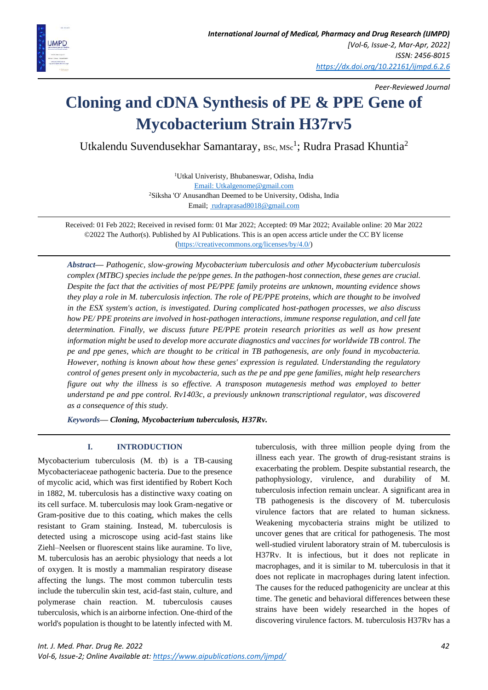

*Peer-Reviewed Journal*

# **Cloning and cDNA Synthesis of PE & PPE Gene of Mycobacterium Strain H37rv5**

Utkalendu Suvendusekhar Samantaray, BSc, MSc<sup>1</sup>; Rudra Prasad Khuntia<sup>2</sup>

<sup>1</sup>Utkal Univeristy, Bhubaneswar, Odisha, India [Email: Utkalgenome@gmail.com](mailto:Email:%20Utkalgenome@gmail.com) <sup>2</sup>Siksha 'O' Anusandhan Deemed to be University, Odisha, India Email; [rudraprasad8018@gmail.com](mailto:%20rudraprasad8018@gmail.com)

Received: 01 Feb 2022; Received in revised form: 01 Mar 2022; Accepted: 09 Mar 2022; Available online: 20 Mar 2022 ©2022 The Author(s). Published by AI Publications. This is an open access article under the CC BY license [\(https://creativecommons.org/licenses/by/4.0/\)](https://creativecommons.org/licenses/by/4.0/)

*Abstract— Pathogenic, slow-growing Mycobacterium tuberculosis and other Mycobacterium tuberculosis complex (MTBC) species include the pe/ppe genes. In the pathogen-host connection, these genes are crucial. Despite the fact that the activities of most PE/PPE family proteins are unknown, mounting evidence shows they play a role in M. tuberculosis infection. The role of PE/PPE proteins, which are thought to be involved in the ESX system's action, is investigated. During complicated host-pathogen processes, we also discuss how PE/ PPE proteins are involved in host-pathogen interactions, immune response regulation, and cell fate determination. Finally, we discuss future PE/PPE protein research priorities as well as how present information might be used to develop more accurate diagnostics and vaccines for worldwide TB control. The pe and ppe genes, which are thought to be critical in TB pathogenesis, are only found in mycobacteria. However, nothing is known about how these genes' expression is regulated. Understanding the regulatory control of genes present only in mycobacteria, such as the pe and ppe gene families, might help researchers figure out why the illness is so effective. A transposon mutagenesis method was employed to better understand pe and ppe control. Rv1403c, a previously unknown transcriptional regulator, was discovered as a consequence of this study.*

*Keywords— Cloning, Mycobacterium tuberculosis, H37Rv.*

## **I. INTRODUCTION**

Mycobacterium tuberculosis (M. tb) is a TB-causing Mycobacteriaceae pathogenic bacteria. Due to the presence of mycolic acid, which was first identified by Robert Koch in 1882, M. tuberculosis has a distinctive waxy coating on its cell surface. M. tuberculosis may look Gram-negative or Gram-positive due to this coating, which makes the cells resistant to Gram staining. Instead, M. tuberculosis is detected using a microscope using acid-fast stains like Ziehl–Neelsen or fluorescent stains like auramine. To live, M. tuberculosis has an aerobic physiology that needs a lot of oxygen. It is mostly a mammalian respiratory disease affecting the lungs. The most common tuberculin tests include the tuberculin skin test, acid-fast stain, culture, and polymerase chain reaction. M. tuberculosis causes tuberculosis, which is an airborne infection. One-third of the world's population is thought to be latently infected with M. tuberculosis, with three million people dying from the illness each year. The growth of drug-resistant strains is exacerbating the problem. Despite substantial research, the pathophysiology, virulence, and durability of M. tuberculosis infection remain unclear. A significant area in TB pathogenesis is the discovery of M. tuberculosis virulence factors that are related to human sickness. Weakening mycobacteria strains might be utilized to uncover genes that are critical for pathogenesis. The most well-studied virulent laboratory strain of M. tuberculosis is H37Rv. It is infectious, but it does not replicate in macrophages, and it is similar to M. tuberculosis in that it does not replicate in macrophages during latent infection. The causes for the reduced pathogenicity are unclear at this time. The genetic and behavioral differences between these strains have been widely researched in the hopes of discovering virulence factors. M. tuberculosis H37Rv has a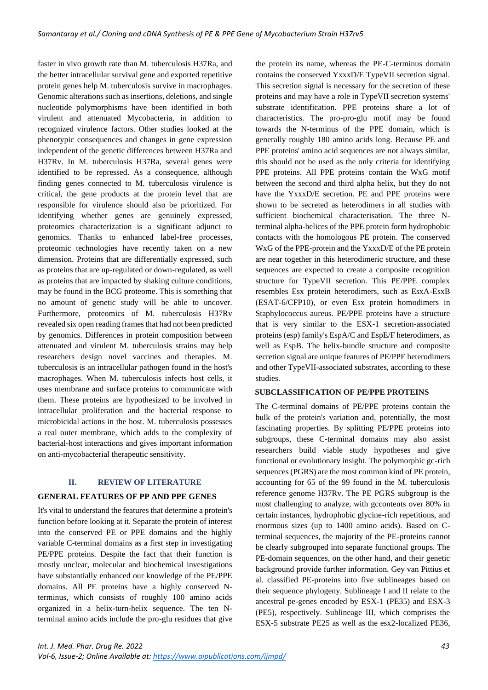faster in vivo growth rate than M. tuberculosis H37Ra, and the better intracellular survival gene and exported repetitive protein genes help M. tuberculosis survive in macrophages. Genomic alterations such as insertions, deletions, and single nucleotide polymorphisms have been identified in both virulent and attenuated Mycobacteria, in addition to recognized virulence factors. Other studies looked at the phenotypic consequences and changes in gene expression independent of the genetic differences between H37Ra and H37Rv. In M. tuberculosis H37Ra, several genes were identified to be repressed. As a consequence, although finding genes connected to M. tuberculosis virulence is critical, the gene products at the protein level that are responsible for virulence should also be prioritized. For identifying whether genes are genuinely expressed, proteomics characterization is a significant adjunct to genomics. Thanks to enhanced label-free processes, proteomic technologies have recently taken on a new dimension. Proteins that are differentially expressed, such as proteins that are up-regulated or down-regulated, as well as proteins that are impacted by shaking culture conditions, may be found in the BCG proteome. This is something that no amount of genetic study will be able to uncover. Furthermore, proteomics of M. tuberculosis H37Rv revealed six open reading frames that had not been predicted by genomics. Differences in protein composition between attenuated and virulent M. tuberculosis strains may help researchers design novel vaccines and therapies. M. tuberculosis is an intracellular pathogen found in the host's macrophages. When M. tuberculosis infects host cells, it uses membrane and surface proteins to communicate with them. These proteins are hypothesized to be involved in intracellular proliferation and the bacterial response to microbicidal actions in the host. M. tuberculosis possesses a real outer membrane, which adds to the complexity of bacterial-host interactions and gives important information on anti-mycobacterial therapeutic sensitivity.

#### **II. REVIEW OF LITERATURE**

### **GENERAL FEATURES OF PP AND PPE GENES**

It's vital to understand the features that determine a protein's function before looking at it. Separate the protein of interest into the conserved PE or PPE domains and the highly variable C-terminal domains as a first step in investigating PE/PPE proteins. Despite the fact that their function is mostly unclear, molecular and biochemical investigations have substantially enhanced our knowledge of the PE/PPE domains. All PE proteins have a highly conserved Nterminus, which consists of roughly 100 amino acids organized in a helix-turn-helix sequence. The ten Nterminal amino acids include the pro-glu residues that give

the protein its name, whereas the PE-C-terminus domain contains the conserved YxxxD/E TypeVII secretion signal. This secretion signal is necessary for the secretion of these proteins and may have a role in TypeVII secretion systems' substrate identification. PPE proteins share a lot of characteristics. The pro-pro-glu motif may be found towards the N-terminus of the PPE domain, which is generally roughly 180 amino acids long. Because PE and PPE proteins' amino acid sequences are not always similar, this should not be used as the only criteria for identifying PPE proteins. All PPE proteins contain the WxG motif between the second and third alpha helix, but they do not have the YxxxD/E secretion. PE and PPE proteins were shown to be secreted as heterodimers in all studies with sufficient biochemical characterisation. The three Nterminal alpha-helices of the PPE protein form hydrophobic contacts with the homologous PE protein. The conserved WxG of the PPE-protein and the YxxxD/E of the PE protein are near together in this heterodimeric structure, and these sequences are expected to create a composite recognition structure for TypeVII secretion. This PE/PPE complex resembles Esx protein heterodimers, such as EsxA-EsxB (ESAT-6/CFP10), or even Esx protein homodimers in Staphylococcus aureus. PE/PPE proteins have a structure that is very similar to the ESX-1 secretion-associated proteins (esp) family's EspA/C and EspE/F heterodimers, as well as EspB. The helix-bundle structure and composite secretion signal are unique features of PE/PPE heterodimers and other TypeVII-associated substrates, according to these studies.

### **SUBCLASSIFICATION OF PE/PPE PROTEINS**

The C-terminal domains of PE/PPE proteins contain the bulk of the protein's variation and, potentially, the most fascinating properties. By splitting PE/PPE proteins into subgroups, these C-terminal domains may also assist researchers build viable study hypotheses and give functional or evolutionary insight. The polymorphic gc-rich sequences (PGRS) are the most common kind of PE protein, accounting for 65 of the 99 found in the M. tuberculosis reference genome H37Rv. The PE PGRS subgroup is the most challenging to analyze, with gccontents over 80% in certain instances, hydrophobic glycine-rich repetitions, and enormous sizes (up to 1400 amino acids). Based on Cterminal sequences, the majority of the PE-proteins cannot be clearly subgrouped into separate functional groups. The PE-domain sequences, on the other hand, and their genetic background provide further information. Gey van Pittius et al. classified PE-proteins into five sublineages based on their sequence phylogeny. Sublineage I and II relate to the ancestral pe-genes encoded by ESX-1 (PE35) and ESX-3 (PE5), respectively. Sublineage III, which comprises the ESX-5 substrate PE25 as well as the esx2-localized PE36,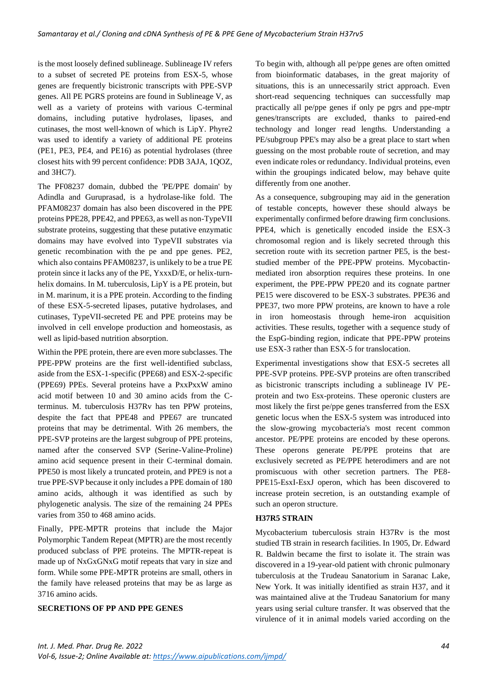is the most loosely defined sublineage. Sublineage IV refers to a subset of secreted PE proteins from ESX-5, whose genes are frequently bicistronic transcripts with PPE-SVP genes. All PE PGRS proteins are found in Sublineage V, as well as a variety of proteins with various C-terminal domains, including putative hydrolases, lipases, and cutinases, the most well-known of which is LipY. Phyre2 was used to identify a variety of additional PE proteins (PE1, PE3, PE4, and PE16) as potential hydrolases (three closest hits with 99 percent confidence: PDB 3AJA, 1QOZ, and 3HC7).

The PF08237 domain, dubbed the 'PE/PPE domain' by Adindla and Guruprasad, is a hydrolase-like fold. The PFAM08237 domain has also been discovered in the PPE proteins PPE28, PPE42, and PPE63, as well as non-TypeVII substrate proteins, suggesting that these putative enzymatic domains may have evolved into TypeVII substrates via genetic recombination with the pe and ppe genes. PE2, which also contains PFAM08237, is unlikely to be a true PE protein since it lacks any of the PE, YxxxD/E, or helix-turnhelix domains. In M. tuberculosis, LipY is a PE protein, but in M. marinum, it is a PPE protein. According to the finding of these ESX-5-secreted lipases, putative hydrolases, and cutinases, TypeVII-secreted PE and PPE proteins may be involved in cell envelope production and homeostasis, as well as lipid-based nutrition absorption.

Within the PPE protein, there are even more subclasses. The PPE-PPW proteins are the first well-identified subclass, aside from the ESX-1-specific (PPE68) and ESX-2-specific (PPE69) PPEs. Several proteins have a PxxPxxW amino acid motif between 10 and 30 amino acids from the Cterminus. M. tuberculosis H37Rv has ten PPW proteins, despite the fact that PPE48 and PPE67 are truncated proteins that may be detrimental. With 26 members, the PPE-SVP proteins are the largest subgroup of PPE proteins, named after the conserved SVP (Serine-Valine-Proline) amino acid sequence present in their C-terminal domain. PPE50 is most likely a truncated protein, and PPE9 is not a true PPE-SVP because it only includes a PPE domain of 180 amino acids, although it was identified as such by phylogenetic analysis. The size of the remaining 24 PPEs varies from 350 to 468 amino acids.

Finally, PPE-MPTR proteins that include the Major Polymorphic Tandem Repeat (MPTR) are the most recently produced subclass of PPE proteins. The MPTR-repeat is made up of NxGxGNxG motif repeats that vary in size and form. While some PPE-MPTR proteins are small, others in the family have released proteins that may be as large as 3716 amino acids.

# **SECRETIONS OF PP AND PPE GENES**

To begin with, although all pe/ppe genes are often omitted from bioinformatic databases, in the great majority of situations, this is an unnecessarily strict approach. Even short-read sequencing techniques can successfully map practically all pe/ppe genes if only pe pgrs and ppe-mptr genes/transcripts are excluded, thanks to paired-end technology and longer read lengths. Understanding a PE/subgroup PPE's may also be a great place to start when guessing on the most probable route of secretion, and may even indicate roles or redundancy. Individual proteins, even within the groupings indicated below, may behave quite differently from one another.

As a consequence, subgrouping may aid in the generation of testable concepts, however these should always be experimentally confirmed before drawing firm conclusions. PPE4, which is genetically encoded inside the ESX-3 chromosomal region and is likely secreted through this secretion route with its secretion partner PE5, is the beststudied member of the PPE-PPW proteins. Mycobactinmediated iron absorption requires these proteins. In one experiment, the PPE-PPW PPE20 and its cognate partner PE15 were discovered to be ESX-3 substrates. PPE36 and PPE37, two more PPW proteins, are known to have a role in iron homeostasis through heme-iron acquisition activities. These results, together with a sequence study of the EspG-binding region, indicate that PPE-PPW proteins use ESX-3 rather than ESX-5 for translocation.

Experimental investigations show that ESX-5 secretes all PPE-SVP proteins. PPE-SVP proteins are often transcribed as bicistronic transcripts including a sublineage IV PEprotein and two Esx-proteins. These operonic clusters are most likely the first pe/ppe genes transferred from the ESX genetic locus when the ESX-5 system was introduced into the slow-growing mycobacteria's most recent common ancestor. PE/PPE proteins are encoded by these operons. These operons generate PE/PPE proteins that are exclusively secreted as PE/PPE heterodimers and are not promiscuous with other secretion partners. The PE8- PPE15-EsxI-EsxJ operon, which has been discovered to increase protein secretion, is an outstanding example of such an operon structure.

### **H37R5 STRAIN**

Mycobacterium tuberculosis strain H37Rv is the most studied TB strain in research facilities. In 1905, Dr. Edward R. Baldwin became the first to isolate it. The strain was discovered in a 19-year-old patient with chronic pulmonary tuberculosis at the Trudeau Sanatorium in Saranac Lake, New York. It was initially identified as strain H37, and it was maintained alive at the Trudeau Sanatorium for many years using serial culture transfer. It was observed that the virulence of it in animal models varied according on the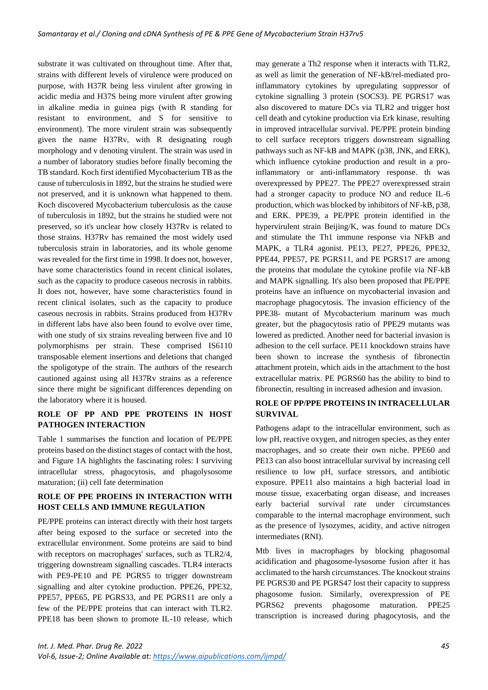substrate it was cultivated on throughout time. After that, strains with different levels of virulence were produced on purpose, with H37R being less virulent after growing in acidic media and H37S being more virulent after growing in alkaline media in guinea pigs (with R standing for resistant to environment, and S for sensitive to environment). The more virulent strain was subsequently given the name H37Rv, with R designating rough morphology and v denoting virulent. The strain was used in a number of laboratory studies before finally becoming the TB standard. Koch first identified Mycobacterium TB as the cause of tuberculosis in 1892, but the strains he studied were not preserved, and it is unknown what happened to them. Koch discovered Mycobacterium tuberculosis as the cause of tuberculosis in 1892, but the strains he studied were not preserved, so it's unclear how closely H37Rv is related to those strains. H37Rv has remained the most widely used tuberculosis strain in laboratories, and its whole genome was revealed for the first time in 1998. It does not, however, have some characteristics found in recent clinical isolates, such as the capacity to produce caseous necrosis in rabbits. It does not, however, have some characteristics found in recent clinical isolates, such as the capacity to produce caseous necrosis in rabbits. Strains produced from H37Rv in different labs have also been found to evolve over time, with one study of six strains revealing between five and 10 polymorphisms per strain. These comprised IS6110 transposable element insertions and deletions that changed the spoligotype of the strain. The authors of the research cautioned against using all H37Rv strains as a reference since there might be significant differences depending on the laboratory where it is housed.

## **ROLE OF PP AND PPE PROTEINS IN HOST PATHOGEN INTERACTION**

Table 1 summarises the function and location of PE/PPE proteins based on the distinct stages of contact with the host, and Figure 1A highlights the fascinating roles: I surviving intracellular stress, phagocytosis, and phagolysosome maturation; (ii) cell fate determination

## **ROLE OF PPE PROEINS IN INTERACTION WITH HOST CELLS AND IMMUNE REGULATION**

PE/PPE proteins can interact directly with their host targets after being exposed to the surface or secreted into the extracellular environment. Some proteins are said to bind with receptors on macrophages' surfaces, such as TLR2/4, triggering downstream signalling cascades. TLR4 interacts with PE9-PE10 and PE PGRS5 to trigger downstream signalling and alter cytokine production. PPE26, PPE32, PPE57, PPE65, PE PGRS33, and PE PGRS11 are only a few of the PE/PPE proteins that can interact with TLR2. PPE18 has been shown to promote IL-10 release, which

may generate a Th2 response when it interacts with TLR2, as well as limit the generation of NF-kB/rel-mediated proinflammatory cytokines by upregulating suppressor of cytokine signalling 3 protein (SOCS3). PE PGRS17 was also discovered to mature DCs via TLR2 and trigger host cell death and cytokine production via Erk kinase, resulting in improved intracellular survival. PE/PPE protein binding to cell surface receptors triggers downstream signalling pathways such as NF-kB and MAPK (p38, JNK, and ERK), which influence cytokine production and result in a proinflammatory or anti-inflammatory response. th was overexpressed by PPE27. The PPE27 overexpressed strain had a stronger capacity to produce NO and reduce IL-6 production, which was blocked by inhibitors of NF-kB, p38, and ERK. PPE39, a PE/PPE protein identified in the hypervirulent strain Beijing/K, was found to mature DCs and stimulate the Th1 immune response via NFkB and MAPK, a TLR4 agonist. PE13, PE27, PPE26, PPE32, PPE44, PPE57, PE PGRS11, and PE PGRS17 are among the proteins that modulate the cytokine profile via NF-kB and MAPK signalling. It's also been proposed that PE/PPE proteins have an influence on mycobacterial invasion and macrophage phagocytosis. The invasion efficiency of the PPE38- mutant of Mycobacterium marinum was much greater, but the phagocytosis ratio of PPE29 mutants was lowered as predicted. Another need for bacterial invasion is adhesion to the cell surface. PE11 knockdown strains have been shown to increase the synthesis of fibronectin attachment protein, which aids in the attachment to the host extracellular matrix. PE PGRS60 has the ability to bind to fibronectin, resulting in increased adhesion and invasion.

## **ROLE OF PP/PPE PROTEINS IN INTRACELLULAR SURVIVAL**

Pathogens adapt to the intracellular environment, such as low pH, reactive oxygen, and nitrogen species, as they enter macrophages, and so create their own niche. PPE60 and PE13 can also boost intracellular survival by increasing cell resilience to low pH, surface stressors, and antibiotic exposure. PPE11 also maintains a high bacterial load in mouse tissue, exacerbating organ disease, and increases early bacterial survival rate under circumstances comparable to the internal macrophage environment, such as the presence of lysozymes, acidity, and active nitrogen intermediates (RNI).

Mtb lives in macrophages by blocking phagosomal acidification and phagosome-lysosome fusion after it has acclimated to the harsh circumstances. The knockout strains PE PGRS30 and PE PGRS47 lost their capacity to suppress phagosome fusion. Similarly, overexpression of PE PGRS62 prevents phagosome maturation. PPE25 transcription is increased during phagocytosis, and the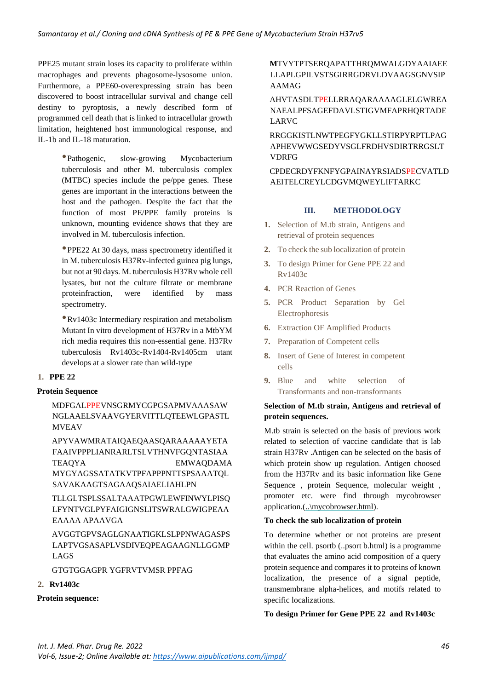PPE25 mutant strain loses its capacity to proliferate within macrophages and prevents phagosome-lysosome union. Furthermore, a PPE60-overexpressing strain has been discovered to boost intracellular survival and change cell destiny to pyroptosis, a newly described form of programmed cell death that is linked to intracellular growth limitation, heightened host immunological response, and IL-1b and IL-18 maturation.

> •Pathogenic, slow-growing Mycobacterium tuberculosis and other M. tuberculosis complex (MTBC) species include the pe/ppe genes. These genes are important in the interactions between the host and the pathogen. Despite the fact that the function of most PE/PPE family proteins is unknown, mounting evidence shows that they are involved in M. tuberculosis infection.

> •PPE22 At 30 days, mass spectrometry identified it in M. tuberculosis H37Rv-infected guinea pig lungs, but not at 90 days. M. tuberculosis H37Rv whole cell lysates, but not the culture filtrate or membrane proteinfraction, were identified by mass spectrometry.

> •Rv1403c Intermediary respiration and metabolism Mutant In vitro development of H37Rv in a MtbYM rich media requires this non-essential gene. H37Rv tuberculosis Rv1403c-Rv1404-Rv1405cm utant develops at a slower rate than wild-type

## **1. PPE 22**

## **Protein Sequence**

MDFGALPPEVNSGRMYCGPGSAPMVAAASAW NGLAAELSVAAVGYERVITTLQTEEWLGPASTL MVEAV

APYVAWMRATAIQAEQAASQARAAAAAYETA FAAIVPPPLIANRARLTSLVTHNVFGQNTASIAA TEAQYA EMWAQDAMA MYGYAGSSATATKVTPFAPPPNTTSPSAAATQL SAVAKAAGTSAGAAQSAIAELIAHLPN

TLLGLTSPLSSALTAAATPGWLEWFINWYLPISQ LFYNTVGLPYFAIGIGNSLITSWRALGWIGPEAA EAAAA APAAVGA

AVGGTGPVSAGLGNAATIGKLSLPPNWAGASPS LAPTVGSASAPLVSDIVEQPEAGAAGNLLGGMP LAGS

GTGTGGAGPR YGFRVTVMSR PPFAG

### **2. Rv1403c**

## **Protein sequence:**

**M**TVYTPTSERQAPATTHRQMWALGDYAAIAEE LLAPLGPILVSTSGIRRGDRVLDVAAGSGNVSIP AAMAG

AHVTASDLTPELLRRAQARAAAAGLELGWREA NAEALPFSAGEFDAVLSTIGVMFAPRHQRTADE LARVC

RRGGKISTLNWTPEGFYGKLLSTIRPYRPTLPAG APHEVWWGSEDYVSGLFRDHVSDIRTRRGSLT VDRFG

CPDECRDYFKNFYGPAINAYRSIADSPECVATLD AEITELCREYLCDGVMQWEYLIFTARKC

#### **III. METHODOLOGY**

- **1.** Selection of M.tb strain, Antigens and retrieval of protein sequences
- **2.** To check the sub localization of protein
- **3.** To design Primer for Gene PPE 22 and Rv1403c
- **4.** PCR Reaction of Genes
- **5.** PCR Product Separation by Gel Electrophoresis
- **6.** Extraction OF Amplified Products
- **7.** Preparation of Competent cells
- **8.** Insert of Gene of Interest in competent cells
- **9.** Blue and white selection of Transformants and non-transformants

## **Selection of M.tb strain, Antigens and retrieval of protein sequences.**

M.tb strain is selected on the basis of previous work related to selection of vaccine candidate that is lab strain H37Rv .Antigen can be selected on the basis of which protein show up regulation. Antigen choosed from the H37Rv and its basic information like Gene Sequence , protein Sequence, molecular weight , promoter etc. were find through mycobrowser application.(..\mycobrowser.html).

## **To check the sub localization of protein**

To determine whether or not proteins are present within the cell. psortb (..psort b.html) is a programme that evaluates the amino acid composition of a query protein sequence and compares it to proteins of known localization, the presence of a signal peptide, transmembrane alpha-helices, and motifs related to specific localizations.

**To design Primer for Gene PPE 22 and Rv1403c**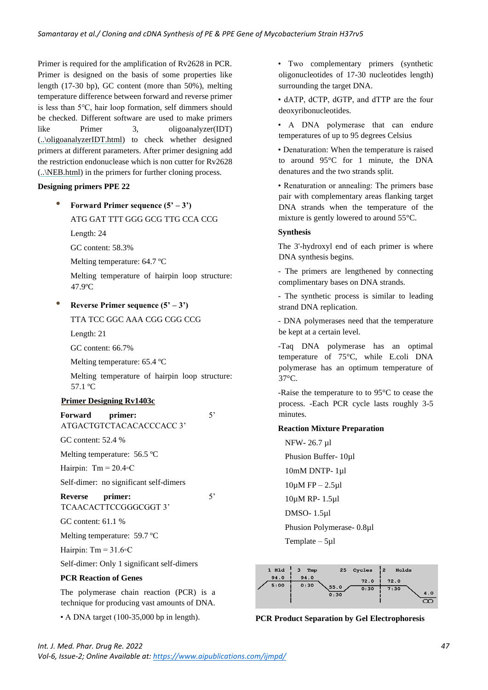Primer is required for the amplification of Rv2628 in PCR. Primer is designed on the basis of some properties like length (17-30 bp), GC content (more than 50%), melting temperature difference between forward and reverse primer is less than 5℃, hair loop formation, self dimmers should be checked. Different software are used to make primers like Primer 3, oligoanalyzer(IDT) (..\oligoanalyzerIDT.html) to check whether designed primers at different parameters. After primer designing add the restriction endonuclease which is non cutter for Rv2628 (..\NEB.html) in the primers for further cloning process.

#### **Designing primers PPE 22**

• **Forward Primer sequence (5' – 3')**

ATG GAT TTT GGG GCG TTG CCA CCG

Length: 24

GC content: 58.3%

Melting temperature: 64.7 ºC

Melting temperature of hairpin loop structure: 47.9ºC

#### • **Reverse Primer sequence (5' – 3')**

TTA TCC GGC AAA CGG CGG CCG

Length: 21

GC content: 66.7%

Melting temperature: 65.4 ºC

Melting temperature of hairpin loop structure: 57.1 ºC

#### **Primer Designing Rv1403c**

**Forward primer:** 5' ATGACTGTCTACACACCCACC 3'

GC content: 52.4 %

Melting temperature: 56.5 ºC

Hairpin: Tm =  $20.4$ ∘C

Self-dimer: no significant self-dimers

**Reverse primer:** 5' TCAACACTTCCGGGCGGT 3'

GC content: 61.1 %

Melting temperature: 59.7 ºC

Hairpin: Tm =  $31.6 \circ C$ 

Self-dimer: Only 1 significant self-dimers

## **PCR Reaction of Genes**

The polymerase chain reaction (PCR) is a technique for producing vast amounts of DNA.

• A DNA target (100-35,000 bp in length).

• Two complementary primers (synthetic oligonucleotides of 17-30 nucleotides length) surrounding the target DNA.

• dATP, dCTP, dGTP, and dTTP are the four deoxyribonucleotides.

• A DNA polymerase that can endure temperatures of up to 95 degrees Celsius

• Denaturation: When the temperature is raised to around 95°C for 1 minute, the DNA denatures and the two strands split.

• Renaturation or annealing: The primers base pair with complementary areas flanking target DNA strands when the temperature of the mixture is gently lowered to around 55°C.

#### **Synthesis**

The 3'-hydroxyl end of each primer is where DNA synthesis begins.

- The primers are lengthened by connecting complimentary bases on DNA strands.

- The synthetic process is similar to leading strand DNA replication.

- DNA polymerases need that the temperature be kept at a certain level.

-Taq DNA polymerase has an optimal temperature of 75°C, while E.coli DNA polymerase has an optimum temperature of 37°C.

-Raise the temperature to to 95°C to cease the process. -Each PCR cycle lasts roughly 3-5 minutes.

#### **Reaction Mixture Preparation**

NFW- 26.7 µl Phusion Buffer- 10µl 10mM DNTP- 1µl  $10\mu$ M FP – 2.5 $\mu$ 1 10µM RP- 1.5µl DMSO- 1.5µl Phusion Polymerase- 0.8µl Template – 5µl



**PCR Product Separation by Gel Electrophoresis**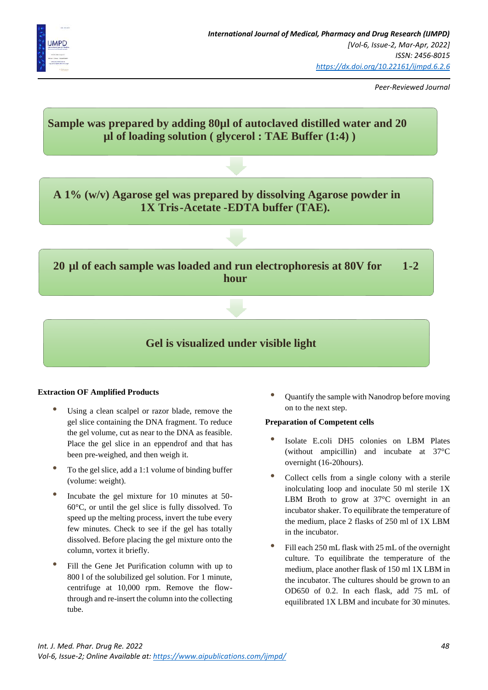

*Peer-Reviewed Journal*



## **Extraction OF Amplified Products**

- Using a clean scalpel or razor blade, remove the gel slice containing the DNA fragment. To reduce the gel volume, cut as near to the DNA as feasible. Place the gel slice in an eppendrof and that has been pre-weighed, and then weigh it.
- To the gel slice, add a 1:1 volume of binding buffer (volume: weight).
- Incubate the gel mixture for 10 minutes at 50- 60°C, or until the gel slice is fully dissolved. To speed up the melting process, invert the tube every few minutes. Check to see if the gel has totally dissolved. Before placing the gel mixture onto the column, vortex it briefly.
- Fill the Gene Jet Purification column with up to 800 l of the solubilized gel solution. For 1 minute, centrifuge at 10,000 rpm. Remove the flowthrough and re-insert the column into the collecting tube.

• Quantify the sample with Nanodrop before moving on to the next step.

#### **Preparation of Competent cells**

- Isolate E.coli DH5 colonies on LBM Plates (without ampicillin) and incubate at 37°C overnight (16-20hours).
- Collect cells from a single colony with a sterile inolculating loop and inoculate 50 ml sterile 1X LBM Broth to grow at 37°C overnight in an incubator shaker. To equilibrate the temperature of the medium, place 2 flasks of 250 ml of 1X LBM in the incubator.
- Fill each 250 mL flask with 25 mL of the overnight culture. To equilibrate the temperature of the medium, place another flask of 150 ml 1X LBM in the incubator. The cultures should be grown to an OD650 of 0.2. In each flask, add 75 mL of equilibrated 1X LBM and incubate for 30 minutes.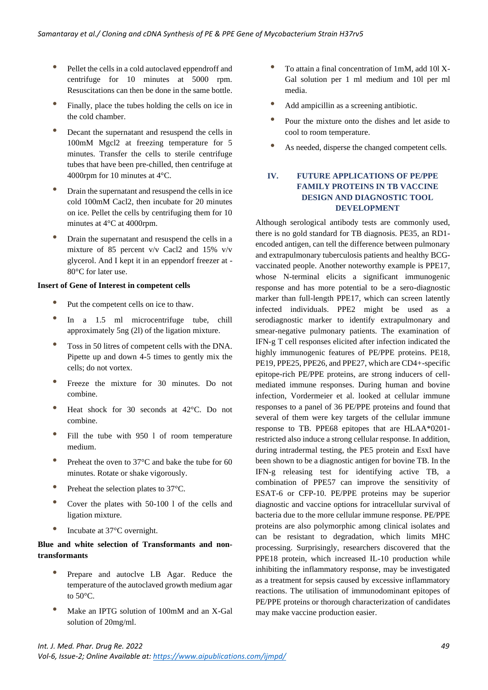- Pellet the cells in a cold autoclaved eppendroff and centrifuge for 10 minutes at 5000 rpm. Resuscitations can then be done in the same bottle.
- Finally, place the tubes holding the cells on ice in the cold chamber.
- Decant the supernatant and resuspend the cells in 100mM Mgcl2 at freezing temperature for 5 minutes. Transfer the cells to sterile centrifuge tubes that have been pre-chilled, then centrifuge at 4000rpm for 10 minutes at 4°C.
- Drain the supernatant and resuspend the cells in ice cold 100mM Cacl2, then incubate for 20 minutes on ice. Pellet the cells by centrifuging them for 10 minutes at 4°C at 4000rpm.
- Drain the supernatant and resuspend the cells in a mixture of 85 percent v/v Cacl2 and 15% v/v glycerol. And I kept it in an eppendorf freezer at - 80°C for later use.

#### **Insert of Gene of Interest in competent cells**

- Put the competent cells on ice to thaw.
- In a 1.5 ml microcentrifuge tube, chill approximately 5ng (2l) of the ligation mixture.
- Toss in 50 litres of competent cells with the DNA. Pipette up and down 4-5 times to gently mix the cells; do not vortex.
- Freeze the mixture for 30 minutes. Do not combine.
- Heat shock for 30 seconds at 42°C. Do not combine.
- Fill the tube with 950 l of room temperature medium.
- Preheat the oven to  $37^{\circ}$ C and bake the tube for 60 minutes. Rotate or shake vigorously.
- Preheat the selection plates to 37°C.
- Cover the plates with 50-100 l of the cells and ligation mixture.
- Incubate at 37°C overnight.

## **Blue and white selection of Transformants and nontransformants**

- Prepare and autoclve LB Agar. Reduce the temperature of the autoclaved growth medium agar to  $50^{\circ}$ C.
- Make an IPTG solution of 100mM and an X-Gal solution of 20mg/ml.
- To attain a final concentration of 1mM, add 10l X-Gal solution per 1 ml medium and 10l per ml media.
- Add ampicillin as a screening antibiotic.
- Pour the mixture onto the dishes and let aside to cool to room temperature.
- As needed, disperse the changed competent cells.

# **IV. FUTURE APPLICATIONS OF PE/PPE FAMILY PROTEINS IN TB VACCINE DESIGN AND DIAGNOSTIC TOOL DEVELOPMENT**

Although serological antibody tests are commonly used, there is no gold standard for TB diagnosis. PE35, an RD1 encoded antigen, can tell the difference between pulmonary and extrapulmonary tuberculosis patients and healthy BCGvaccinated people. Another noteworthy example is PPE17, whose N-terminal elicits a significant immunogenic response and has more potential to be a sero-diagnostic marker than full-length PPE17, which can screen latently infected individuals. PPE2 might be used as a serodiagnostic marker to identify extrapulmonary and smear-negative pulmonary patients. The examination of IFN-g T cell responses elicited after infection indicated the highly immunogenic features of PE/PPE proteins. PE18, PE19, PPE25, PPE26, and PPE27, which are CD4+-specific epitope-rich PE/PPE proteins, are strong inducers of cellmediated immune responses. During human and bovine infection, Vordermeier et al. looked at cellular immune responses to a panel of 36 PE/PPE proteins and found that several of them were key targets of the cellular immune response to TB. PPE68 epitopes that are HLAA\*0201 restricted also induce a strong cellular response. In addition, during intradermal testing, the PE5 protein and EsxI have been shown to be a diagnostic antigen for bovine TB. In the IFN-g releasing test for identifying active TB, a combination of PPE57 can improve the sensitivity of ESAT-6 or CFP-10. PE/PPE proteins may be superior diagnostic and vaccine options for intracellular survival of bacteria due to the more cellular immune response. PE/PPE proteins are also polymorphic among clinical isolates and can be resistant to degradation, which limits MHC processing. Surprisingly, researchers discovered that the PPE18 protein, which increased IL-10 production while inhibiting the inflammatory response, may be investigated as a treatment for sepsis caused by excessive inflammatory reactions. The utilisation of immunodominant epitopes of PE/PPE proteins or thorough characterization of candidates may make vaccine production easier.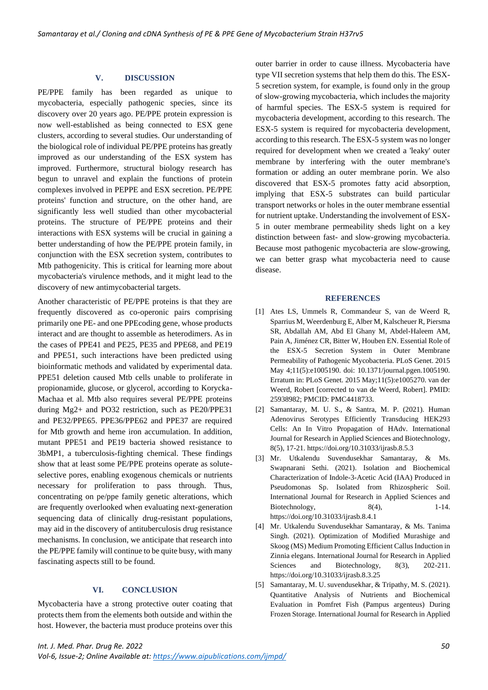#### **V. DISCUSSION**

PE/PPE family has been regarded as unique to mycobacteria, especially pathogenic species, since its discovery over 20 years ago. PE/PPE protein expression is now well-established as being connected to ESX gene clusters, according to several studies. Our understanding of the biological role of individual PE/PPE proteins has greatly improved as our understanding of the ESX system has improved. Furthermore, structural biology research has begun to unravel and explain the functions of protein complexes involved in PEPPE and ESX secretion. PE/PPE proteins' function and structure, on the other hand, are significantly less well studied than other mycobacterial proteins. The structure of PE/PPE proteins and their interactions with ESX systems will be crucial in gaining a better understanding of how the PE/PPE protein family, in conjunction with the ESX secretion system, contributes to Mtb pathogenicity. This is critical for learning more about mycobacteria's virulence methods, and it might lead to the discovery of new antimycobacterial targets.

Another characteristic of PE/PPE proteins is that they are frequently discovered as co-operonic pairs comprising primarily one PE- and one PPEcoding gene, whose products interact and are thought to assemble as heterodimers. As in the cases of PPE41 and PE25, PE35 and PPE68, and PE19 and PPE51, such interactions have been predicted using bioinformatic methods and validated by experimental data. PPE51 deletion caused Mtb cells unable to proliferate in propionamide, glucose, or glycerol, according to Korycka-Machaa et al. Mtb also requires several PE/PPE proteins during Mg2+ and PO32 restriction, such as PE20/PPE31 and PE32/PPE65. PPE36/PPE62 and PPE37 are required for Mtb growth and heme iron accumulation. In addition, mutant PPE51 and PE19 bacteria showed resistance to 3bMP1, a tuberculosis-fighting chemical. These findings show that at least some PE/PPE proteins operate as soluteselective pores, enabling exogenous chemicals or nutrients necessary for proliferation to pass through. Thus, concentrating on pe/ppe family genetic alterations, which are frequently overlooked when evaluating next-generation sequencing data of clinically drug-resistant populations, may aid in the discovery of antituberculosis drug resistance mechanisms. In conclusion, we anticipate that research into the PE/PPE family will continue to be quite busy, with many fascinating aspects still to be found.

#### **VI. CONCLUSION**

Mycobacteria have a strong protective outer coating that protects them from the elements both outside and within the host. However, the bacteria must produce proteins over this

outer barrier in order to cause illness. Mycobacteria have type VII secretion systems that help them do this. The ESX-5 secretion system, for example, is found only in the group of slow-growing mycobacteria, which includes the majority of harmful species. The ESX-5 system is required for mycobacteria development, according to this research. The ESX-5 system is required for mycobacteria development, according to this research. The ESX-5 system was no longer required for development when we created a 'leaky' outer membrane by interfering with the outer membrane's formation or adding an outer membrane porin. We also discovered that ESX-5 promotes fatty acid absorption, implying that ESX-5 substrates can build particular transport networks or holes in the outer membrane essential for nutrient uptake. Understanding the involvement of ESX-5 in outer membrane permeability sheds light on a key distinction between fast- and slow-growing mycobacteria. Because most pathogenic mycobacteria are slow-growing, we can better grasp what mycobacteria need to cause disease.

#### **REFERENCES**

- [1] Ates LS, Ummels R, Commandeur S, van de Weerd R, Sparrius M, Weerdenburg E, Alber M, Kalscheuer R, Piersma SR, Abdallah AM, Abd El Ghany M, Abdel-Haleem AM, Pain A, Jiménez CR, Bitter W, Houben EN. Essential Role of the ESX-5 Secretion System in Outer Membrane Permeability of Pathogenic Mycobacteria. PLoS Genet. 2015 May 4;11(5):e1005190. doi: 10.1371/journal.pgen.1005190. Erratum in: PLoS Genet. 2015 May;11(5):e1005270. van der Weerd, Robert [corrected to van de Weerd, Robert]. PMID: 25938982; PMCID: PMC4418733.
- [2] Samantaray, M. U. S., & Santra, M. P. (2021). Human Adenovirus Serotypes Efficiently Transducing HEK293 Cells: An In Vitro Propagation of HAdv. International Journal for Research in Applied Sciences and Biotechnology, 8(5), 17-21. https://doi.org/10.31033/ijrasb.8.5.3
- [3] Mr. Utkalendu Suvendusekhar Samantaray, & Ms. Swapnarani Sethi. (2021). Isolation and Biochemical Characterization of Indole-3-Acetic Acid (IAA) Produced in Pseudomonas Sp. Isolated from Rhizospheric Soil. International Journal for Research in Applied Sciences and Biotechnology,  $8(4)$ ,  $1-14$ . https://doi.org/10.31033/ijrasb.8.4.1
- [4] Mr. Utkalendu Suvendusekhar Samantaray, & Ms. Tanima Singh. (2021). Optimization of Modified Murashige and Skoog (MS) Medium Promoting Efficient Callus Induction in Zinnia elegans. International Journal for Research in Applied Sciences and Biotechnology, 8(3), 202-211. https://doi.org/10.31033/ijrasb.8.3.25
- [5] Samantaray, M. U. suvendusekhar, & Tripathy, M. S. (2021). Quantitative Analysis of Nutrients and Biochemical Evaluation in Pomfret Fish (Pampus argenteus) During Frozen Storage. International Journal for Research in Applied